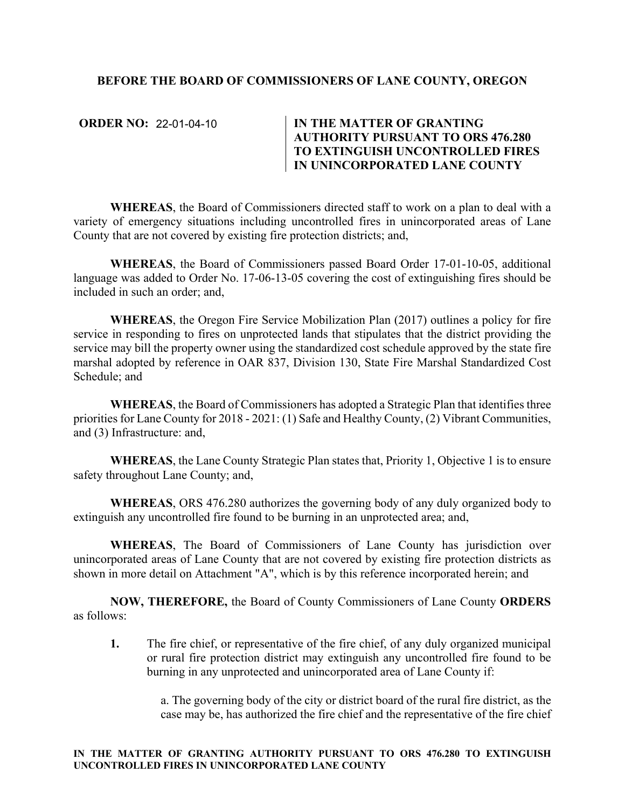## **BEFORE THE BOARD OF COMMISSIONERS OF LANE COUNTY, OREGON**

**ORDER NO: 22-01-04-10** 

## **IN THE MATTER OF GRANTING AUTHORITY PURSUANT TO ORS 476.280 TO EXTINGUISH UNCONTROLLED FIRES IN UNINCORPORATED LANE COUNTY**

**WHEREAS**, the Board of Commissioners directed staff to work on a plan to deal with a variety of emergency situations including uncontrolled fires in unincorporated areas of Lane County that are not covered by existing fire protection districts; and,

**WHEREAS**, the Board of Commissioners passed Board Order 17-01-10-05, additional language was added to Order No. 17-06-13-05 covering the cost of extinguishing fires should be included in such an order; and,

**WHEREAS**, the Oregon Fire Service Mobilization Plan (2017) outlines a policy for fire service in responding to fires on unprotected lands that stipulates that the district providing the service may bill the property owner using the standardized cost schedule approved by the state fire marshal adopted by reference in OAR 837, Division 130, State Fire Marshal Standardized Cost Schedule; and

**WHEREAS**, the Board of Commissioners has adopted a Strategic Plan that identifies three priorities for Lane County for 2018 - 2021: (1) Safe and Healthy County, (2) Vibrant Communities, and (3) Infrastructure: and,

**WHEREAS**, the Lane County Strategic Plan states that, Priority 1, Objective 1 is to ensure safety throughout Lane County; and,

**WHEREAS**, ORS 476.280 authorizes the governing body of any duly organized body to extinguish any uncontrolled fire found to be burning in an unprotected area; and,

**WHEREAS**, The Board of Commissioners of Lane County has jurisdiction over unincorporated areas of Lane County that are not covered by existing fire protection districts as shown in more detail on Attachment "A", which is by this reference incorporated herein; and

**NOW, THEREFORE,** the Board of County Commissioners of Lane County **ORDERS**  as follows:

**1.** The fire chief, or representative of the fire chief, of any duly organized municipal or rural fire protection district may extinguish any uncontrolled fire found to be burning in any unprotected and unincorporated area of Lane County if:

> a. The governing body of the city or district board of the rural fire district, as the case may be, has authorized the fire chief and the representative of the fire chief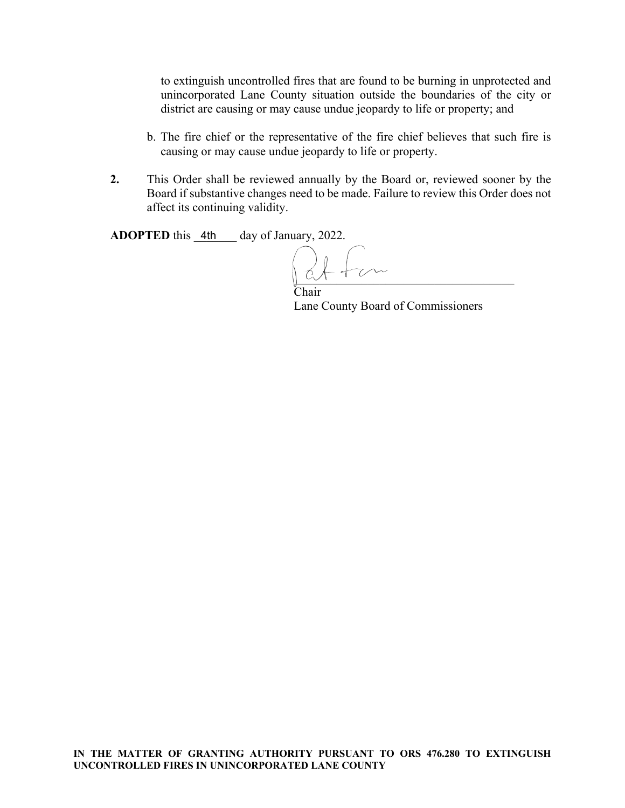to extinguish uncontrolled fires that are found to be burning in unprotected and unincorporated Lane County situation outside the boundaries of the city or district are causing or may cause undue jeopardy to life or property; and

- b. The fire chief or the representative of the fire chief believes that such fire is causing or may cause undue jeopardy to life or property.
- **2.** This Order shall be reviewed annually by the Board or, reviewed sooner by the Board if substantive changes need to be made. Failure to review this Order does not affect its continuing validity.

**ADOPTED** this 4th day of January, 2022.

 $\overline{a}$ 

Chair Lane County Board of Commissioners